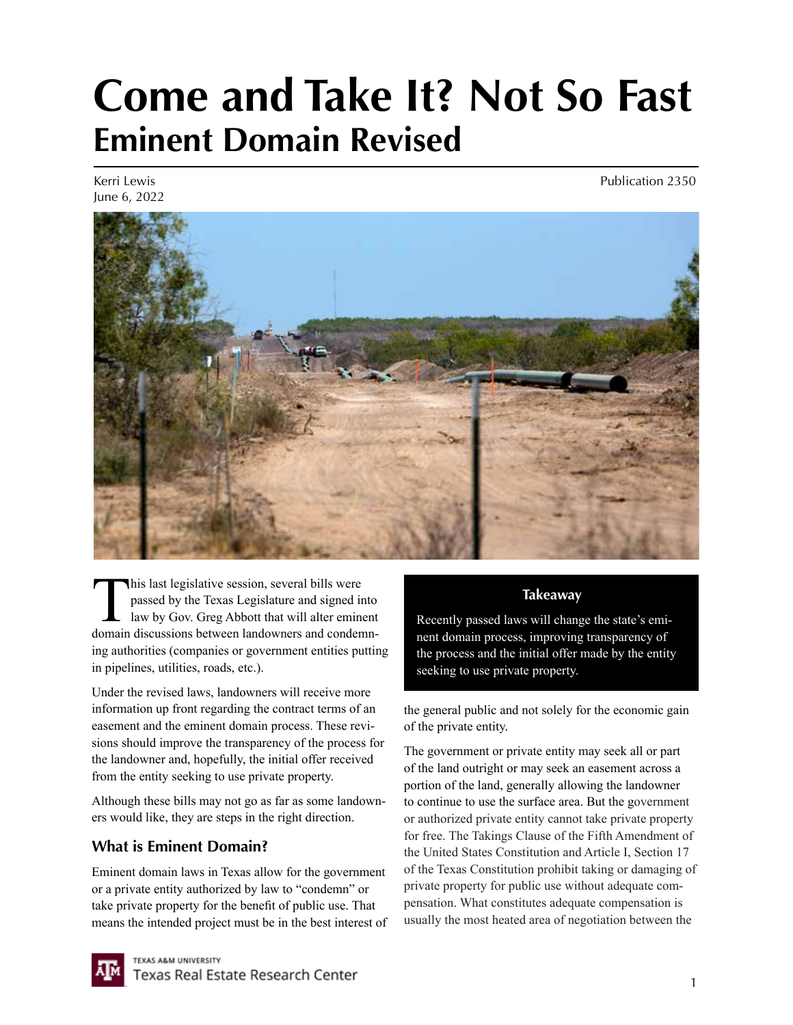# **Come and Take It? Not So Fast Eminent Domain Revised**

Kerri Lewis June 6, 2022 Publication 2350



This last legislative session, several bills were<br>passed by the Texas Legislature and signed in<br>law by Gov. Greg Abbott that will alter emine<br>domain discussions between landowners and conden passed by the Texas Legislature and signed into law by Gov. Greg Abbott that will alter eminent domain discussions between landowners and condemning authorities (companies or government entities putting in pipelines, utilities, roads, etc.).

Under the revised laws, landowners will receive more information up front regarding the contract terms of an easement and the eminent domain process. These revisions should improve the transparency of the process for the landowner and, hopefully, the initial offer received from the entity seeking to use private property.

Although these bills may not go as far as some landowners would like, they are steps in the right direction.

# **What is Eminent Domain?**

Eminent domain laws in Texas allow for the government or a private entity authorized by law to "condemn" or take private property for the benefit of public use. That means the intended project must be in the best interest of

### **Takeaway**

Recently passed laws will change the state's eminent domain process, improving transparency of the process and the initial offer made by the entity seeking to use private property.

the general public and not solely for the economic gain of the private entity.

The government or private entity may seek all or part of the land outright or may seek an easement across a portion of the land, generally allowing the landowner to continue to use the surface area. But the government or authorized private entity cannot take private property for free. The Takings Clause of the Fifth Amendment of the United States Constitution and Article I, Section 17 of the Texas Constitution prohibit taking or damaging of private property for public use without adequate compensation. What constitutes adequate compensation is usually the most heated area of negotiation between the

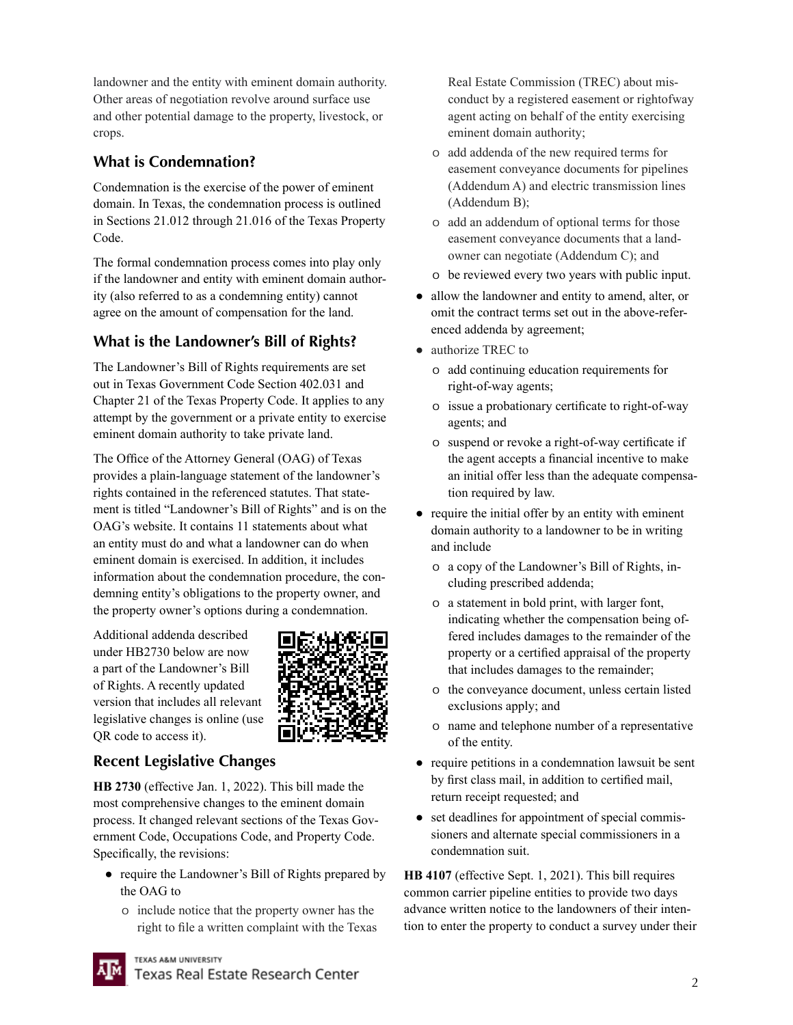landowner and the entity with eminent domain authority. Other areas of negotiation revolve around surface use and other potential damage to the property, livestock, or crops.

## **What is Condemnation?**

Condemnation is the exercise of the power of eminent domain. In Texas, the condemnation process is outlined in Sections 21.012 through 21.016 of the Texas Property Code.

The formal condemnation process comes into play only if the landowner and entity with eminent domain authority (also referred to as a condemning entity) cannot agree on the amount of compensation for the land.

# **What is the Landowner's Bill of Rights?**

The Landowner's Bill of Rights requirements are set out in Texas Government Code Section 402.031 and Chapter 21 of the Texas Property Code. It applies to any attempt by the government or a private entity to exercise eminent domain authority to take private land.

The Office of the Attorney General (OAG) of Texas provides a plain-language statement of the landowner's rights contained in the referenced statutes. That statement is titled "Landowner's Bill of Rights" and is on the OAG's website. It contains 11 statements about what an entity must do and what a landowner can do when eminent domain is exercised. In addition, it includes information about the condemnation procedure, the condemning entity's obligations to the property owner, and the property owner's options during a condemnation.

Additional addenda described under HB2730 below are now a part of the Landowner's Bill of Rights. A recently updated version that includes all relevant legislative changes is online (use QR code to access it).



### **Recent Legislative Changes**

**HB 2730** (effective Jan. 1, 2022). This bill made the most comprehensive changes to the eminent domain process. It changed relevant sections of the Texas Government Code, Occupations Code, and Property Code. Specifically, the revisions:

- require the Landowner's Bill of Rights prepared by the OAG to
	- o include notice that the property owner has the right to file a written complaint with the Texas

Real Estate Commission (TREC) about misconduct by a registered easement or rightofway agent acting on behalf of the entity exercising eminent domain authority;

- o add addenda of the new required terms for easement conveyance documents for pipelines (Addendum A) and electric transmission lines (Addendum B);
- o add an addendum of optional terms for those easement conveyance documents that a landowner can negotiate (Addendum C); and
- o be reviewed every two years with public input.
- allow the landowner and entity to amend, alter, or omit the contract terms set out in the above-referenced addenda by agreement;
- authorize TREC to
	- o add continuing education requirements for right-of-way agents;
	- o issue a probationary certificate to right-of-way agents; and
	- o suspend or revoke a right-of-way certificate if the agent accepts a financial incentive to make an initial offer less than the adequate compensation required by law.
- require the initial offer by an entity with eminent domain authority to a landowner to be in writing and include
	- o a copy of the Landowner's Bill of Rights, including prescribed addenda;
	- o a statement in bold print, with larger font, indicating whether the compensation being offered includes damages to the remainder of the property or a certified appraisal of the property that includes damages to the remainder;
	- o the conveyance document, unless certain listed exclusions apply; and
	- o name and telephone number of a representative of the entity.
- require petitions in a condemnation lawsuit be sent by first class mail, in addition to certified mail, return receipt requested; and
- set deadlines for appointment of special commissioners and alternate special commissioners in a condemnation suit.

**HB 4107** (effective Sept. 1, 2021). This bill requires common carrier pipeline entities to provide two days advance written notice to the landowners of their intention to enter the property to conduct a survey under their



**TEXAS A&M UNIVERSITY** 

Texas Real Estate Research Center